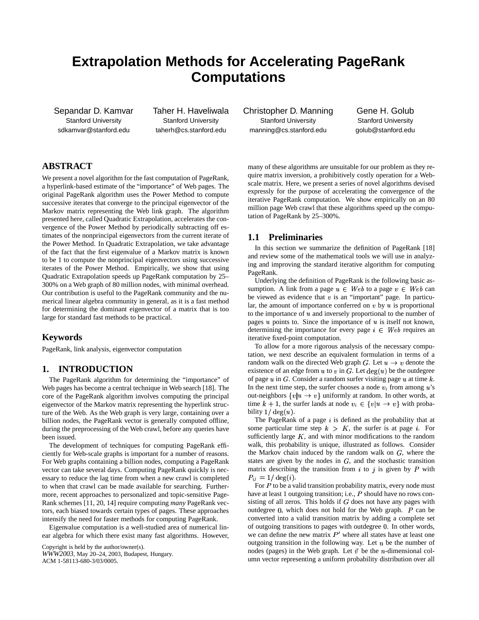# **Extrapolation Methods for Accelerating PageRank Computations**

Sepandar D. Kamvar Stanford University sdkamvar@stanford.edu

Taher H. Haveliwala Stanford University taherh@cs.stanford.edu

Christopher D. Manning Stanford University manning@cs.stanford.edu

Gene H. Golub Stanford University golub@stanford.edu

# **ABSTRACT**

We present a novel algorithm for the fast computation of PageRank, a hyperlink-based estimate of the "importance" of Web pages. The original PageRank algorithm uses the Power Method to compute successive iterates that converge to the principal eigenvector of the Markov matrix representing the Web link graph. The algorithm presented here, called Quadratic Extrapolation, accelerates the convergence of the Power Method by periodically subtracting off estimates of the nonprincipal eigenvectors from the current iterate of the Power Method. In Quadratic Extrapolation, we take advantage of the fact that the first eigenvalue of a Markov matrix is known to be 1 to compute the nonprincipal eigenvectors using successive iterates of the Power Method. Empirically, we show that using Quadratic Extrapolation speeds up PageRank computation by 25– 300% on a Web graph of 80 million nodes, with minimal overhead. Our contribution is useful to the PageRank community and the numerical linear algebra community in general, as it is a fast method for determining the dominant eigenvector of a matrix that is too large for standard fast methods to be practical.

# **Keywords**

PageRank, link analysis, eigenvector computation

### **1. INTRODUCTION**

The PageRank algorithm for determining the "importance" of Web pages has become a central technique in Web search [18]. The core of the PageRank algorithm involves computing the principal eigenvector of the Markov matrix representing the hyperlink structure of the Web. As the Web graph is very large, containing over a billion nodes, the PageRank vector is generally computed offline, during the preprocessing of the Web crawl, before any queries have been issued.

The development of techniques for computing PageRank efficiently for Web-scale graphs is important for a number of reasons. For Web graphs containing a billion nodes, computing a PageRank vector can take several days. Computing PageRank quickly is necessary to reduce the lag time from when a new crawl is completed to when that crawl can be made available for searching. Furthermore, recent approaches to personalized and topic-sensitive Page-Rank schemes [11, 20, 14] require computing *many* PageRank vectors, each biased towards certain types of pages. These approaches intensify the need for faster methods for computing PageRank.

Eigenvalue computation is a well-studied area of numerical linear algebra for which there exist many fast algorithms. However,

Copyright is held by the author/owner(s). *WWW2003*, May 20–24, 2003, Budapest, Hungary. ACM 1-58113-680-3/03/0005.

many of these algorithms are unsuitable for our problem as they require matrix inversion, a prohibitively costly operation for a Webscale matrix. Here, we present a series of novel algorithms devised expressly for the purpose of accelerating the convergence of the iterative PageRank computation. We show empirically on an 80 million page Web crawl that these algorithms speed up the computation of PageRank by 25–300%.

### **1.1 Preliminaries**

In this section we summarize the definition of PageRank [18] and review some of the mathematical tools we will use in analyzing and improving the standard iterative algorithm for computing PageRank.

Underlying the definition of PageRank is the following basic assumption. A link from a page  $u \in Web$  to a page  $v \in Web$  can be viewed as evidence that  $v$  is an "important" page. In particular, the amount of importance conferred on  $v$  by  $u$  is proportional to the importance of  $u$  and inversely proportional to the number of pages  $u$  points to. Since the importance of  $u$  is itself not known, determining the importance for every page  $i \in$  Web requires an iterative fixed-point computation.

To allow for a more rigorous analysis of the necessary computation, we next describe an equivalent formulation in terms of a random walk on the directed Web graph G. Let  $u \to v$  denote the existence of an edge from u to v in G. Let  $deg(u)$  be the outdegree of page  $u$  in  $G$ . Consider a random surfer visiting page  $u$  at time  $k$ . In the next time step, the surfer chooses a node  $v_i$  from among  $u$ 's out-neighbors  $\{v|u \to v\}$  uniformly at random. In other words, at time  $k + 1$ , the surfer lands at node  $v_i \in \{v | u \rightarrow v\}$  with probability  $1/\deg(u)$ .

The PageRank of a page  $i$  is defined as the probability that at some particular time step  $k > K$ , the surfer is at page i. For sufficiently large  $K$ , and with minor modifications to the random walk, this probability is unique, illustrated as follows. Consider the Markov chain induced by the random walk on  $G$ , where the states are given by the nodes in  $G$ , and the stochastic transition matrix describing the transition from  $i$  to  $j$  is given by  $P$  with  $P_{ij} = 1/\deg(i).$ 

For  $P$  to be a valid transition probability matrix, every node must have at least 1 outgoing transition; i.e.,  $P$  should have no rows consisting of all zeros. This holds if  $G$  does not have any pages with outdegree 0, which does not hold for the Web graph.  $P$  can be converted into a valid transition matrix by adding a complete set of outgoing transitions to pages with outdegree 0. In other words, we can define the new matrix  $P'$  where all states have at least one outgoing transition in the following way. Let  $n$  be the number of nodes (pages) in the Web graph. Let  $\vec{v}$  be the *n*-dimensional column vector representing a uniform probability distribution over all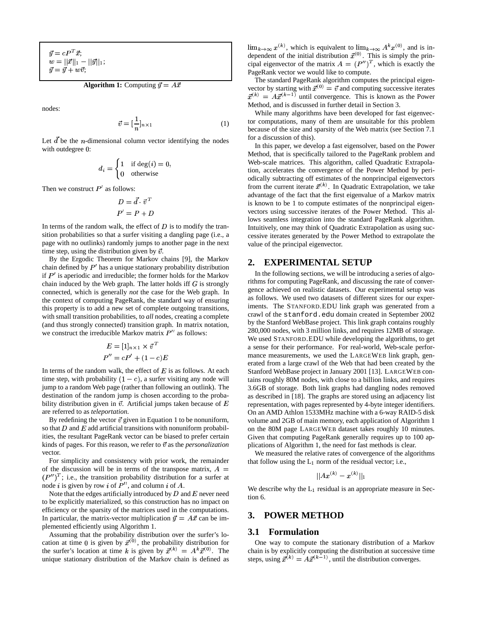$$
\begin{array}{l} \vec{y} = cP^T\vec{x};\\ w = \|\vec{x}\|_1 - \|\vec{y}\|_1; \\ \vec{y} = \vec{y} + w\vec{v}; \end{array}
$$

**Algorithm 1:** Computing  $\vec{y} = A\vec{x}$ 

nodes:

$$
\vec{v} = \left[\frac{1}{n}\right]_{n \times 1} \tag{1}
$$

Let  $d$  be the *n*-dimensional column vector identifying the nodes with outdegree 0:

$$
d_i = \begin{cases} 1 & \text{if } \deg(i) = 0, \\ 0 & \text{otherwise} \end{cases}
$$

Then we construct  $P'$  as follows:

$$
D = \vec{d} \cdot \vec{v}^T
$$

$$
P' = P + D
$$

In terms of the random walk, the effect of  $D$  is to modify the transition probabilities so that a surfer visiting a dangling page (i.e., a page with no outlinks) randomly jumps to another page in the next time step, using the distribution given by  $\vec{v}$ .

By the Ergodic Theorem for Markov chains [9], the Markov chain defined by  $P'$  has a unique stationary probability distribution if  $P'$  is aperiodic and irreducible; the former holds for the Markov chain induced by the Web graph. The latter holds iff  $G$  is strongly connected, which is generally *not* the case for the Web graph. In the context of computing PageRank, the standard way of ensuring this property is to add a new set of complete outgoing transitions, with small transition probabilities, to *all* nodes, creating a complete (and thus strongly connected) transition graph. In matrix notation, we construct the irreducible Markov matrix  $P''$  as follows:

$$
E = [1]_{n \times 1} \times \vec{v}^T
$$
  

$$
P'' = cP' + (1 - c)E
$$

In terms of the random walk, the effect of  $E$  is as follows. At each time step, with probability  $(1 - c)$ , a surfer visiting any node will jump to a random Web page (rather than following an outlink). The destination of the random jump is chosen according to the probability distribution given in  $\vec{v}$ . Artificial jumps taken because of E are referred to as *teleportation*.

By redefining the vector  $\vec{v}$  given in Equation 1 to be nonuniform, so that  $D$  and  $E$  add artificial transitions with nonuniform probabilities, the resultant PageRank vector can be biased to prefer certain kinds of pages. For this reason, we refer to  $\vec{v}$  as the *personalization* vector.

For simplicity and consistency with prior work, the remainder of the discussion will be in terms of the transpose matrix,  $A =$  $(P'')^T$ ; i.e., the transition probability distribution for a surfer at node *i* is given by row *i* of  $P''$ , and column *i* of A.

Note that the edges artificially introduced by  $D$  and  $E$  never need to be explicitly materialized, so this construction has no impact on efficiency or the sparsity of the matrices used in the computations. In particular, the matrix-vector multiplication  $\vec{y} = A\vec{x}$  can be implemented efficiently using Algorithm 1.

Assuming that the probability distribution over the surfer's location at time 0 is given by  $\vec{x}^{(0)}$ , the probability distribution for the surfer's location at time k is given by  $\vec{x}^{(k)} = A^k \vec{x}^{(0)}$ . The unique stationary distribution of the Markov chain is defined as

 $\lim_{k\to\infty} x^{(k)}$ , which is equivalent to  $\lim_{k\to\infty} A^k x^{(0)}$ , and is independent of the initial distribution  $\vec{x}^{(0)}$ . This is simply the principal eigenvector of the matrix  $A = (P'')^T$ , which is exactly the PageRank vector we would like to compute.

The standard PageRank algorithm computes the principal eigenvector by starting with  $\vec{x}^{(0)} = \vec{v}$  and computing successive iterates  $\vec{x}^{(k)} = A \vec{x}^{(k-1)}$  until convergence. This is known as the Power Method, and is discussed in further detail in Section 3.

While many algorithms have been developed for fast eigenvector computations, many of them are unsuitable for this problem because of the size and sparsity of the Web matrix (see Section 7.1 for a discussion of this).

In this paper, we develop a fast eigensolver, based on the Power Method, that is specifically tailored to the PageRank problem and Web-scale matrices. This algorithm, called Quadratic Extrapolation, accelerates the convergence of the Power Method by periodically subtracting off estimates of the nonprincipal eigenvectors from the current iterate  $\vec{x}^{(k)}$ . In Quadratic Extrapolation, we take advantage of the fact that the first eigenvalue of a Markov matrix is known to be 1 to compute estimates of the nonprincipal eigenvectors using successive iterates of the Power Method. This allows seamless integration into the standard PageRank algorithm. Intuitively, one may think of Quadratic Extrapolation as using successive iterates generated by the Power Method to extrapolate the value of the principal eigenvector.

### **2. EXPERIMENTAL SETUP**

In the following sections, we will be introducing a series of algorithms for computing PageRank, and discussing the rate of convergence achieved on realistic datasets. Our experimental setup was as follows. We used two datasets of different sizes for our experiments. The STANFORD.EDU link graph was generated from a crawl of the stanford.edu domain created in September 2002 by the Stanford WebBase project. This link graph contains roughly 280,000 nodes, with 3 million links, and requires 12MB of storage. We used STANFORD.EDU while developing the algorithms, to get a sense for their performance. For real-world, Web-scale performance measurements, we used the LARGEWEB link graph, generated from a large crawl of the Web that had been created by the Stanford WebBase project in January 2001 [13]. LARGEWEB contains roughly 80M nodes, with close to a billion links, and requires 3.6GB of storage. Both link graphs had dangling nodes removed as described in [18]. The graphs are stored using an adjacency list representation, with pages represented by 4-byte integer identifiers. On an AMD Athlon 1533MHz machine with a 6-way RAID-5 disk volume and 2GB of main memory, each application of Algorithm 1 on the 80M page LARGEWEB dataset takes roughly 10 minutes. Given that computing PageRank generally requires up to 100 applications of Algorithm 1, the need for fast methods is clear.

We measured the relative rates of convergence of the algorithms that follow using the  $L_1$  norm of the residual vector; i.e.,

$$
||A x^{(k)} - x^{(k)}||_1
$$

We describe why the  $L_1$  residual is an appropriate measure in Section 6.

# **3. POWER METHOD**

#### **3.1 Formulation**

One way to compute the stationary distribution of a Markov chain is by explicitly computing the distribution at successive time steps, using  $\vec{x}^{(k)} = A \vec{x}^{(k-1)}$ , until the distribution converges.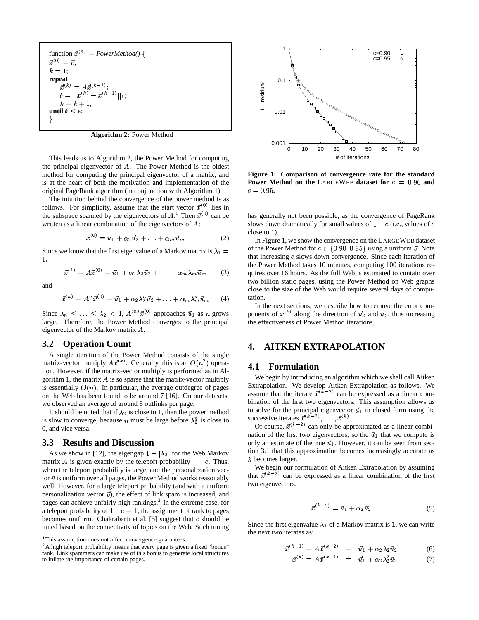function 
$$
\vec{x}^{(n)} = PowerMethod() \{ \vec{x}^{(0)} = \vec{v};
$$
\n $k = 1;$ \n\nrepeat\n $\vec{x}^{(k)} = A \vec{x}^{(k-1)};$ \n $\delta = ||x^{(k)} - x^{(k-1)}||_1;$ \n $k = k + 1;$ \nuntil  $\delta < \epsilon;$ \n}\n

**Algorithm 2:** Power Method

This leads us to Algorithm 2, the Power Method for computing the principal eigenvector of . The Power Method is the oldest method for computing the principal eigenvector of a matrix, and is at the heart of both the motivation and implementation of the original PageRank algorithm (in conjunction with Algorithm 1).

The intuition behind the convergence of the power method is as follows. For simplicity, assume that the start vector  $\vec{x}^{(0)}$  lies in the subspace spanned by the eigenvectors of  $A<sup>1</sup>$ . Then  $\vec{x}^{(0)}$  can be written as a linear combination of the eigenvectors of  $A$ :

$$
\vec{x}^{(0)} = \vec{u}_1 + \alpha_2 \vec{u}_2 + \ldots + \alpha_m \vec{u}_m \tag{2}
$$

Since we know that the first eigenvalue of a Markov matrix is  $\lambda_1 =$ 1,

$$
\vec{x}^{(1)} = A\vec{x}^{(0)} = \vec{u}_1 + \alpha_2 \lambda_2 \vec{u}_2 + \ldots + \alpha_m \lambda_m \vec{u}_m
$$
 (3)

and

$$
\vec{x}^{(n)} = A^n \vec{x}^{(0)} = \vec{u}_1 + \alpha_2 \lambda_2^n \vec{u}_2 + \ldots + \alpha_m \lambda_m^n \vec{u}_m \qquad (4)
$$

Since  $\lambda_n \leq \ldots \leq \lambda_2 < 1$ ,  $A^{(n)} \vec{x}^{(0)}$  approaches  $\vec{u}_1$  as n grows large. Therefore, the Power Method converges to the principal eigenvector of the Markov matrix A.

### **3.2 Operation Count**

A single iteration of the Power Method consists of the single matrix-vector multiply  $A\vec{x}^{(k)}$ . Generally, this is an  $O(n^2)$  operation. However, if the matrix-vector multiply is performed as in Algorithm 1, the matrix  $A$  is so sparse that the matrix-vector multiply is essentially  $O(n)$ . In particular, the average outdegree of pages on the Web has been found to be around 7 [16]. On our datasets, we observed an average of around 8 outlinks per page.

It should be noted that if  $\lambda_2$  is close to 1, then the power method is slow to converge, because *n* must be large before  $\lambda_2^n$  is close to 0, and vice versa.

### **3.3 Results and Discussion**

As we show in [12], the eigengap  $1 - |\lambda_2|$  for the Web Markov matrix A is given exactly by the teleport probability  $1 - c$ . Thus, when the teleport probability is large, and the personalization vector  $\vec{v}$  is uniform over all pages, the Power Method works reasonably well. However, for a large teleport probability (and with a uniform personalization vector  $\vec{v}$ ), the effect of link spam is increased, and pages can achieve unfairly high rankings. $<sup>2</sup>$  In the extreme case, for</sup> a teleport probability of  $1 - c = 1$ , the assignment of rank to pages becomes uniform. Chakrabarti et al.  $[5]$  suggest that  $c$  should be tuned based on the connectivity of topics on the Web. Such tuning



**Figure 1: Comparison of convergence rate for the standard Power Method on the LARGEWEB dataset for**  $c = 0.90$  and  $c = 0.95$ .

has generally not been possible, as the convergence of PageRank slows down dramatically for small values of  $1 - c$  (i.e., values of  $c$ close to 1).

In Figure 1, we show the convergence on the LARGEWEB dataset of the Power Method for  $c \in \{0.90, 0.95\}$  using a uniform  $\vec{v}$ . Note that increasing  $c$  slows down convergence. Since each iteration of the Power Method takes 10 minutes, computing 100 iterations requires over 16 hours. As the full Web is estimated to contain over two billion static pages, using the Power Method on Web graphs close to the size of the Web would require several days of computation.

In the next sections, we describe how to remove the error components of  $x^{(k)}$  along the direction of  $\vec{u}_2$  and  $\vec{u}_3$ , thus increasing the effectiveness of Power Method iterations.

# **4. AITKEN EXTRAPOLATION**

### **4.1 Formulation**

We begin by introducing an algorithm which we shall call Aitken Extrapolation. We develop Aitken Extrapolation as follows. We assume that the iterate  $\vec{x}^{(k-2)}$  can be expressed as a linear combination of the first two eigenvectors. This assumption allows us to solve for the principal eigenvector  $\vec{u}_1$  in closed form using the successive iterates  $\vec{x}^{(k-2)}, \ldots, \vec{x}^{(k)}$ .

Of course,  $\vec{x}^{(k-2)}$  can only be approximated as a linear combination of the first two eigenvectors, so the  $\vec{u}_1$  that we compute is only an estimate of the true  $\vec{u}_1$ . However, it can be seen from section 3.1 that this approximation becomes increasingly accurate as  $k$  becomes larger.

We begin our formulation of Aitken Extrapolation by assuming that  $\vec{x}^{(k-2)}$  can be expressed as a linear combination of the first two eigenvectors.

$$
\vec{x}^{(k-2)} = \vec{u}_1 + \alpha_2 \vec{u}_2 \tag{5}
$$

Since the first eigenvalue  $\lambda_1$  of a Markov matrix is 1, we can write the next two iterates as:

$$
\vec{x}^{(k-1)} = A\vec{x}^{(k-2)} = \vec{u}_1 + \alpha_2 \lambda_2 \vec{u}_2 \tag{6}
$$

$$
\vec{x}^{(k)} = A\vec{x}^{(k-1)} = \vec{u}_1 + \alpha_2 \lambda_2^2 \vec{u}_2 \tag{7}
$$

<sup>&</sup>lt;sup>1</sup>This assumption does not affect convergence guarantees.

<sup>&</sup>lt;sup>2</sup>A high teleport probability means that every page is given a fixed "bonus" rank. Link spammers can make use of this bonus to generate local structures to inflate the importance of certain pages.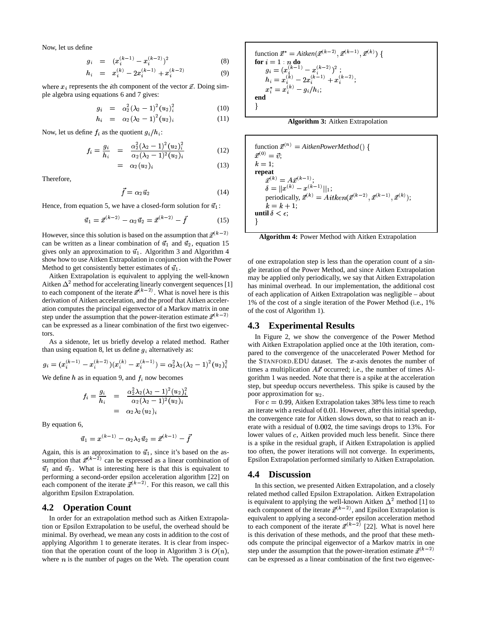Now, let us define

$$
g_i = (x_i^{(k-1)} - x_i^{(k-2)})^2
$$
 (8)

$$
h_i = x_i^{(k)} - 2x_i^{(k-1)} + x_i^{(k-2)} \tag{9}
$$

where  $x_i$  represents the *i*th component of the vector  $\vec{x}$ . Doing simple algebra using equations 6 and 7 gives:

$$
g_i = \alpha_2^2 (\lambda_2 - 1)^2 (u_2)_i^2 \tag{10}
$$

$$
h_i = \alpha_2 (\lambda_2 - 1)^2 (u_2)_i \tag{11}
$$

Now, let us define  $f_i$  as the quotient  $g_i/h_i$ :

$$
f_i = \frac{g_i}{h_i} = \frac{\alpha_2^2 (\lambda_2 - 1)^2 (u_2)_i^2}{\alpha_2 (\lambda_2 - 1)^2 (u_2)_i}
$$
(12)

$$
= \alpha_2(u_2)_i \tag{13}
$$

Therefore,

$$
\vec{f} = \alpha_2 \vec{u}_2 \tag{14}
$$

Hence, from equation 5, we have a closed-form solution for  $\vec{u}_1$ :

$$
\vec{u}_1 = \vec{x}^{(k-2)} - \alpha_2 \vec{u}_2 = \vec{x}^{(k-2)} - \vec{f}
$$
 (15)

However, since this solution is based on the assumption that  $\vec{x}^{(k-2)}$ can be written as a linear combination of  $\vec{u}_1$  and  $\vec{u}_2$ , equation 15 gives only an approximation to  $\vec{u}_1$ . Algorithm 3 and Algorithm 4 show how to use Aitken Extrapolation in conjunction with the Power Method to get consistently better estimates of  $\vec{u}_1$ .

Aitken Extrapolation is equivalent to applying the well-known Aitken  $\Delta^2$  method for accelerating linearly convergent sequences [1] to each component of the iterate  $\vec{x}^{(k-2)}$ . What is novel here is this derivation of Aitken acceleration, and the proof that Aitken acceleration computes the principal eigenvector of a Markov matrix in one step under the assumption that the power-iteration estimate  $\vec{x}^{(k-2)}$ can be expressed as a linear combination of the first two eigenvectors.

As a sidenote, let us briefly develop a related method. Rather than using equation 8, let us define  $g_i$  alternatively as:

$$
g_i = (x_i^{(k-1)} - x_i^{(k-2)})(x_i^{(k)} - x_i^{(k-1)}) = \alpha_2^2 \lambda_2 (\lambda_2 - 1)^2 (u_2)_i^2
$$

We define  $h$  as in equation 9, and  $f_i$  now becomes

$$
f_i = \frac{g_i}{h_i} = \frac{\alpha_2^2 \lambda_2 (\lambda_2 - 1)^2 (u_2)_i^2}{\alpha_2 (\lambda_2 - 1)^2 (u_2)_i}
$$
  
=  $\alpha_2 \lambda_2 (u_2)_i$ 

By equation 6,

$$
\vec{u}_1 = x^{(k-1)} - \alpha_2 \lambda_2 \vec{u}_2 = \vec{x}^{(k-1)} - \vec{f}
$$

Again, this is an approximation to  $\vec{u}_1$ , since it's based on the assumption that  $\vec{x}^{(k-2)}$  can be expressed as a linear combination of  $\vec{u}_1$  and  $\vec{u}_2$ . What is interesting here is that this is equivalent to performing a second-order epsilon acceleration algorithm [22] on each component of the iterate  $\vec{x}^{(k-2)}$ . For this reason, we call this algorithm Epsilon Extrapolation.

### **4.2 Operation Count**

In order for an extrapolation method such as Aitken Extrapolation or Epsilon Extrapolation to be useful, the overhead should be minimal. By overhead, we mean any costs in addition to the cost of applying Algorithm 1 to generate iterates. It is clear from inspection that the operation count of the loop in Algorithm 3 is  $O(n)$ , step where  $n$  is the number of pages on the Web. The operation count

function 
$$
\vec{x}^* = Aitken(\vec{x}^{(k-2)}, \vec{x}^{(k-1)}, \vec{x}^{(k)})
$$
 {  
\n**for**  $i = 1 : n$  **do**  
\n $g_i = (x_i^{(k-1)} - x_i^{(k-2)})^2$ ;  
\n $h_i = x_i^{(k)} - 2x_i^{(k-1)} + x_i^{(k-2)}$ ;  
\n $x_i^* = x_i^{(k)} - g_i/h_i$ ;  
\n**end**

**Algorithm 3:** Aitken Extrapolation

function  $\vec{x}^{(n)} = A$ *itkenPowerMethod*() {  $\vec{x}^{(0)} = \vec{v}$ ;  $k=1;$ **repeat**  $\begin{array}{l} \vec{x}^{(k)}=A\vec{x}^{(k-1)}; \ \delta=\|x^{(k)}-x^{(k-1)}\|_1; \end{array}$ periodically,  $\vec{x}^{(k)} = Aitken(\vec{x}^{(k-2)}, \vec{x}^{(k-1)}, \vec{x}^{(k)})$ ;  $k = k + 1;$  $\text{until } \delta < \epsilon;$ and the contract of the contract of the contract of the contract of the contract of the contract of the contract of the contract of the contract of the contract of the contract of the contract of the contract of the contra

**Algorithm 4:** Power Method with Aitken Extrapolation

of one extrapolation step is less than the operation count of a single iteration of the Power Method, and since Aitken Extrapolation may be applied only periodically, we say that Aitken Extrapolation has minimal overhead. In our implementation, the additional cost of each application of Aitken Extrapolation was negligible – about 1% of the cost of a single iteration of the Power Method (i.e., 1% of the cost of Algorithm 1).

### **4.3 Experimental Results**

In Figure 2, we show the convergence of the Power Method with Aitken Extrapolation applied once at the 10th iteration, compared to the convergence of the unaccelerated Power Method for the STANFORD. EDU dataset. The  $x$ -axis denotes the number of times a multiplication  $A\vec{x}$  occurred; i.e., the number of times Algorithm 1 was needed. Note that there is a spike at the acceleration step, but speedup occurs nevertheless. This spike is caused by the poor approximation for  $u_2$ .

For  $c = 0.99$ , Aitken Extrapolation takes 38% less time to reach an iterate with a residual of  $0.01$ . However, after this initial speedup, the convergence rate for Aitken slows down, so that to reach an iterate with a residual of 0.002, the time savings drops to 13%. For lower values of c, Aitken provided much less benefit. Since there is a spike in the residual graph, if Aitken Extrapolation is applied too often, the power iterations will not converge. In experiments, Epsilon Extrapolation performed similarly to Aitken Extrapolation.

#### **4.4 Discussion**

In this section, we presented Aitken Extrapolation, and a closely related method called Epsilon Extrapolation. Aitken Extrapolation is equivalent to applying the well-known Aitken  $\Delta^2$  method [1] to each component of the iterate  $\vec{x}^{(k-2)}$ , and Epsilon Extrapolation is equivalent to applying a second-order epsilon acceleration method to each component of the iterate  $\vec{x}^{(k-2)}$  [22]. What is novel here is this derivation of these methods, and the proof that these methods compute the principal eigenvector of a Markov matrix in one step under the assumption that the power-iteration estimate  $\vec{x}^{(k-2)}$ can be expressed as a linear combination of the first two eigenvec-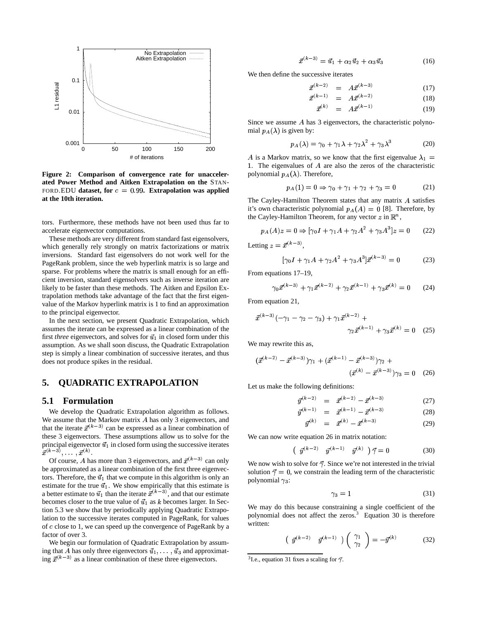

**Figure 2: Comparison of convergence rate for unaccelerated Power Method and Aitken Extrapolation on the** STAN-FORD. EDU dataset, for  $c = 0.99$ . Extrapolation was applied **at the 10th iteration.**

tors. Furthermore, these methods have not been used thus far to accelerate eigenvector computations.

These methods are very different from standard fast eigensolvers, which generally rely strongly on matrix factorizations or matrix inversions. Standard fast eigensolvers do not work well for the PageRank problem, since the web hyperlink matrix is so large and sparse. For problems where the matrix is small enough for an efficient inversion, standard eigensolvers such as inverse iteration are likely to be faster than these methods. The Aitken and Epsilon Extrapolation methods take advantage of the fact that the first eigenvalue of the Markov hyperlink matrix is 1 to find an approximation to the principal eigenvector.

In the next section, we present Quadratic Extrapolation, which assumes the iterate can be expressed as a linear combination of the first *three* eigenvectors, and solves for  $\vec{u}_1$  in closed form under this assumption. As we shall soon discuss, the Quadratic Extrapolation step is simply a linear combination of successive iterates, and thus does not produce spikes in the residual.

# **5. QUADRATIC EXTRAPOLATION**

### **5.1 Formulation**

We develop the Quadratic Extrapolation algorithm as follows. We assume that the Markov matrix  $A$  has only 3 eigenvectors, and that the iterate  $\vec{x}^{(k-3)}$  can be expressed as a linear combination of these 3 eigenvectors. These assumptions allow us to solve for the principal eigenvector  $\vec{u}_1$  in closed form using the successive iterates  $\bar{x}^{(k-3)}, \ldots, \bar{x}^{(k)}.$ 

Of course, A has more than 3 eigenvectors, and  $\vec{x}^{(k-3)}$  can only be approximated as a linear combination of the first three eigenvectors. Therefore, the  $\vec{u}_1$  that we compute in this algorithm is only an estimate for the true  $\vec{u}_1$ . We show empirically that this estimate is a better estimate to  $\vec{u}_1$  than the iterate  $\vec{x}^{(k-3)}$ , and that our estimate becomes closer to the true value of  $\vec{u}_1$  as k becomes larger. In Section 5.3 we show that by periodically applying Quadratic Extrapolation to the successive iterates computed in PageRank, for values of close to 1, we can speed up the convergence of PageRank by a factor of over 3.

We begin our formulation of Quadratic Extrapolation by assuming that A has only three eigenvectors  $\vec{u}_1, \dots, \vec{u}_3$  and approximating  $\vec{x}^{(k-3)}$  as a linear combination of these three eigenvectors.

$$
\vec{x}^{(k-3)} = \vec{u}_1 + \alpha_2 \vec{u}_2 + \alpha_3 \vec{u}_3 \tag{16}
$$

We then define the successive iterates

$$
\vec{x}^{(k-2)} = A\vec{x}^{(k-3)} \tag{17}
$$

$$
\vec{x}^{(k-1)} = A\vec{x}^{(k-2)} \tag{18}
$$

$$
\vec{x}^{(k)} = A\vec{x}^{(k-1)} \tag{19}
$$

Since we assume  $A$  has 3 eigenvectors, the characteristic polynomial  $p_A(\lambda)$  is given by:

$$
p_A(\lambda) = \gamma_0 + \gamma_1 \lambda + \gamma_2 \lambda^2 + \gamma_3 \lambda^3 \tag{20}
$$

A is a Markov matrix, so we know that the first eigenvalue  $\lambda_1 =$ 1. The eigenvalues of  $A$  are also the zeros of the characteristic polynomial  $p_A(\lambda)$ . Therefore,

$$
p_A(1) = 0 \Rightarrow \gamma_0 + \gamma_1 + \gamma_2 + \gamma_3 = 0 \tag{21}
$$

The Cayley-Hamilton Theorem states that any matrix  $A$  satisfies it's own characteristic polynomial  $p_A(A) = 0$  [8]. Therefore, by the Cayley-Hamilton Theorem, for any vector  $z$  in  $\mathbb{R}^n$ ,

$$
p_A(A)z = 0 \Rightarrow [\gamma_0 I + \gamma_1 A + \gamma_2 A^2 + \gamma_3 A^3]z = 0 \tag{22}
$$

Letting  $z = \vec{x}^{(k-3)}$ ,

$$
[\gamma_0 I + \gamma_1 A + \gamma_2 A^2 + \gamma_3 A^3] \vec{x}^{(k-3)} = 0 \tag{23}
$$

From equations 17–19,

$$
\gamma_0 \vec{x}^{(k-3)} + \gamma_1 \vec{x}^{(k-2)} + \gamma_2 \vec{x}^{(k-1)} + \gamma_3 \vec{x}^{(k)} = 0 \qquad (24)
$$

From equation 21,

$$
\vec{x}^{(k-3)}(-\gamma_1 - \gamma_2 - \gamma_3) + \gamma_1 \vec{x}^{(k-2)} + \gamma_2 \vec{x}^{(k-1)} + \gamma_3 \vec{x}^{(k)} = 0 \quad (25)
$$

We may rewrite this as,

$$
(\vec{x}^{(k-2)} - \vec{x}^{(k-3)})\gamma_1 + (\vec{x}^{(k-1)} - \vec{x}^{(k-3)})\gamma_2 +
$$

$$
(\vec{x}^{(k)} - \vec{x}^{(k-3)})\gamma_3 = 0 \quad (26)
$$

Let us make the following definitions:

$$
\vec{y}^{(k-2)} = \vec{x}^{(k-2)} - \vec{x}^{(k-3)}
$$
\n(27)

 $\vec{u}^{(k-1)} = \vec{x}^{(k-1)} - \vec{x}^{(k-3)}$ (28)

$$
\vec{y}^{(k)} = \vec{x}^{(k)} - \vec{x}^{(k-3)}
$$
 (29)

 We can now write equation 26 in matrix notation:

$$
\left(\begin{array}{cc}\vec{y}^{(k-2)} & \vec{y}^{(k-1)} & \vec{y}^{(k)}\end{array}\right)\vec{\gamma} = 0\tag{30}
$$

We now wish to solve for  $\vec{\gamma}$ . Since we're not interested in the trivial solution  $\vec{\gamma} = 0$ , we constrain the leading term of the characteristic polynomial  $\gamma_3$ :

$$
\gamma_3 = 1\tag{31}
$$

We may do this because constraining a single coefficient of the polynomial does not affect the zeros.<sup>3</sup> Equation 30 is therefore written:

$$
\left(\begin{array}{cc}\n\vec{y}^{(k-2)} & \vec{y}^{(k-1)}\n\end{array}\right)\n\begin{pmatrix}\n\gamma_1 \\
\gamma_2\n\end{pmatrix} = -\vec{y}^{(k)}\n\tag{32}
$$

<sup>&</sup>lt;sup>3</sup>I.e., equation 31 fixes a scaling for  $\vec{\gamma}$ .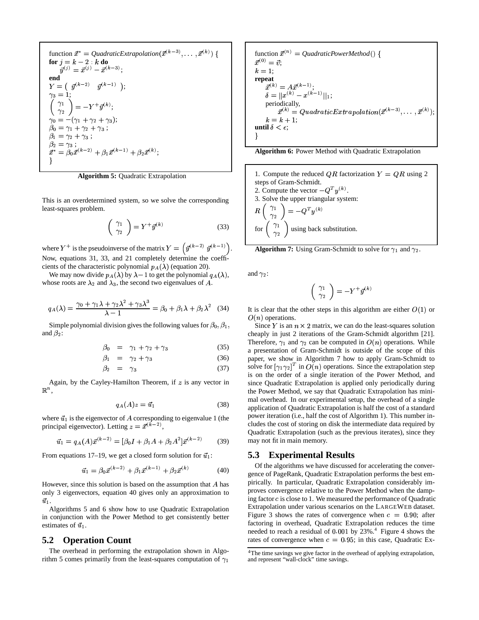function 
$$
\vec{x}^* = QuadraticExtrapolation(\vec{x}^{(k-3)}, ..., \vec{x}^{(k)})
$$
 {  
\nfor  $j = k - 2 : k$  do  
\n $\vec{y}^{(j)} = \vec{x}^{(j)} - \vec{x}^{(k-3)}$ ;  
\nend  
\n $Y = (\vec{y}^{(k-2)} \quad \vec{y}^{(k-1)})$ ;  
\n $\gamma_3 = 1;$   
\n $\begin{pmatrix} \gamma_1 \\ \gamma_2 \end{pmatrix} = -Y^+ \vec{y}^{(k)};$   
\n $\gamma_0 = -(\gamma_1 + \gamma_2 + \gamma_3);$   
\n $\beta_0 = \gamma_1 + \gamma_2 + \gamma_3;$   
\n $\beta_1 = \gamma_2 + \gamma_3;$   
\n $\beta_2 = \gamma_3;$   
\n $\vec{x}^* = \beta_0 \vec{x}^{(k-2)} + \beta_1 \vec{x}^{(k-1)} + \beta_2 \vec{x}^{(k)};$ 

**Algorithm 5:** Quadratic Extrapolation

This is an overdetermined system, so we solve the corresponding least-squares problem.

$$
\left(\begin{array}{c}\gamma_1\\\gamma_2\end{array}\right)=Y^+\vec{y}^{(k)}\tag{33}
$$

where  $Y^+$  is the pseudoinverse of the matrix  $Y = \left(\vec{y}^{(k-2)}\ \vec{y}^{(k-1)}\right)$ . . Now, equations 31, 33, and 21 completely determine the coefficients of the characteristic polynomial  $p_A(\lambda)$  (equation 20).

We may now divide  $p_A(\lambda)$  by  $\lambda - 1$  to get the polynomial  $q_A(\lambda)$ , and whose roots are  $\lambda_2$  and  $\lambda_3$ , the second two eigenvalues of A.

$$
q_A(\lambda) = \frac{\gamma_0 + \gamma_1 \lambda + \gamma_2 \lambda^2 + \gamma_3 \lambda^3}{\lambda - 1} = \beta_0 + \beta_1 \lambda + \beta_2 \lambda^2 \quad (34)
$$

Simple polynomial division gives the following values for  $\beta_0$ ,  $\beta_1$ , and  $\beta_2$ :

$$
\beta_0 = \gamma_1 + \gamma_2 + \gamma_3 \tag{35}
$$

$$
\beta_1 = \gamma_2 + \gamma_3 \tag{36}
$$

$$
\beta_2 = \gamma_3 \tag{37}
$$

Again, by the Cayley-Hamilton Theorem, if  $z$  is any vector in  $\mathbb{R}^n$ ,

$$
q_A(A)z = \vec{u}_1 \tag{38}
$$

where  $\vec{u}_1$  is the eigenvector of A corresponding to eigenvalue 1 (the principal eigenvector). Letting  $z = \vec{x}^{(k-2)}$ ,

$$
\vec{u}_1 = q_A(A)\vec{x}^{(k-2)} = [\beta_0 I + \beta_1 A + \beta_2 A^2] \vec{x}^{(k-2)}
$$
(39)

From equations 17–19, we get a closed form solution for  $\vec{u}_1$ :

$$
\vec{u}_1 = \beta_0 \vec{x}^{(k-2)} + \beta_1 \vec{x}^{(k-1)} + \beta_2 \vec{x}^{(k)}
$$
(40)

However, since this solution is based on the assumption that  $A$  has  $\qquad$  pirit only 3 eigenvectors, equation 40 gives only an approximation to  $\vec{u}_1$ .

Algorithms 5 and 6 show how to use Quadratic Extrapolation in conjunction with the Power Method to get consistently better estimates of  $\vec{u}_1$ .

# **5.2 Operation Count**

The overhead in performing the extrapolation shown in Algorithm 5 comes primarily from the least-squares computation of  $\gamma_1$ 

function 
$$
\vec{x}^{(n)} = Quadratic PowerMethod()
$$
 {  
\n $\vec{x}^{(0)} = \vec{v}$ ;  
\n $k = 1$ ;  
\nrepeat  
\n $\vec{x}^{(k)} = A\vec{x}^{(k-1)}$ ;  
\n $\delta = ||x^{(k)} - x^{(k-1)}||_1$ ;  
\nperiodically,  
\n $\vec{x}^{(k)} = Quadratic Extrapolation(\vec{x}^{(k-3)}, ..., \vec{x}^{(k)})$ ;  
\n $k = k + 1$ ;  
\nuntil  $\delta < \epsilon$ ;  
\n}



1. Compute the reduced  $QR$  factorization  $Y = QR$  using 2 steps of Gram-Schmidt. 2. Compute the vector  $-Q^T y^{(k)}$ . 3. Solve the upper triangular system:  $R\left(\begin{array}{c} \gamma_1 \ \gamma_2 \end{array}\right) = -Q^T y^{(k)}$  $\overline{\phantom{a}}$ for  $\begin{pmatrix} \gamma_1 \\ \gamma_2 \end{pmatrix}$  using back substitution.  $\gamma_1$ -

**Algorithm 7:** Using Gram-Schmidt to solve for 
$$
\gamma_1
$$
 and  $\gamma_2$ .

and  $\gamma_2$ :

$$
\left(\begin{array}{c} \gamma_1 \\ \gamma_2 \end{array}\right) = -Y^+ \vec{y}^{(k)}
$$

It is clear that the other steps in this algorithm are either  $O(1)$  or  $O(n)$  operations.

Since Y is an  $n \times 2$  matrix, we can do the least-squares solution cheaply in just 2 iterations of the Gram-Schmidt algorithm [21]. Therefore,  $\gamma_1$  and  $\gamma_2$  can be computed in  $O(n)$  operations. While a presentation of Gram-Schmidt is outside of the scope of this paper, we show in Algorithm 7 how to apply Gram-Schmidt to solve for  $[\gamma_1 \gamma_2]^T$  in  $O(n)$  operations. Since the extrapolation step is on the order of a single iteration of the Power Method, and since Quadratic Extrapolation is applied only periodically during the Power Method, we say that Quadratic Extrapolation has minimal overhead. In our experimental setup, the overhead of a single application of Quadratic Extrapolation is half the cost of a standard power iteration (i.e., half the cost of Algorithm 1). This number includes the cost of storing on disk the intermediate data required by Quadratic Extrapolation (such as the previous iterates), since they may not fit in main memory.

## **5.3 Experimental Results**

Of the algorithms we have discussed for accelerating the convergence of PageRank, Quadratic Extrapolation performs the best empirically. In particular, Quadratic Extrapolation considerably improves convergence relative to the Power Method when the damping factor  $c$  is close to 1. We measured the performance of Quadratic Extrapolation under various scenarios on the LARGEWEB dataset. Figure 3 shows the rates of convergence when  $c = 0.90$ ; after factoring in overhead, Quadratic Extrapolation reduces the time needed to reach a residual of  $0.001$  by  $23\%$ .<sup>4</sup> Figure 4 shows the rates of convergence when  $c = 0.95$ ; in this case, Quadratic Ex-

and represent "wall-clock" time savings. <sup>4</sup>The time savings we give factor in the overhead of applying extrapolation,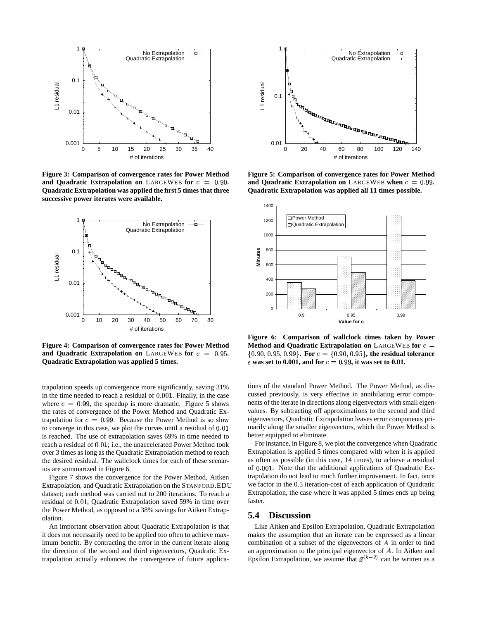

**Figure 3: Comparison of convergence rates for Power Method** and Quadratic Extrapolation on LARGEWEB for  $c = 0.90$ . a **Quadratic Extrapolation was applied the first 5 times that three successive power iterates were available.**



**Figure 4: Comparison of convergence rates for Power Method and Quadratic Extrapolation on** LARGEWEB **for**  $c = 0.95$ .  $\{$ **Quadratic Extrapolation was applied 5 times.**

trapolation speeds up convergence more significantly, saving 31% in the time needed to reach a residual of  $0.001$ . Finally, in the case where  $c = 0.99$ , the speedup is more dramatic. Figure 5 shows the rates of convergence of the Power Method and Quadratic Extrapolation for  $c = 0.99$ . Because the Power Method is so slow to converge in this case, we plot the curves until a residual of is reached. The use of extrapolation saves 69% in time needed to reach a residual of  $0.01$ ; i.e., the unaccelerated Power Method took over 3 times as long as the Quadratic Extrapolation method to reach the desired residual. The wallclock times for each of these scenarios are summarized in Figure 6.

Figure 7 shows the convergence for the Power Method, Aitken Extrapolation, and Quadratic Extrapolation on the STANFORD.EDU dataset; each method was carried out to 200 iterations. To reach a residual of 0.01, Quadratic Extrapolation saved 59% in time over the Power Method, as opposed to a 38% savings for Aitken Extrapolation.

An important observation about Quadratic Extrapolation is that it does not necessarily need to be applied too often to achieve maximum benefit. By contracting the error in the current iterate along the direction of the second and third eigenvectors, Quadratic Extrapolation actually enhances the convergence of future applica-



**Figure 5: Comparison of convergence rates for Power Method** and Quadratic Extrapolation on LARGEWEB when  $c = 0.99$ . **Quadratic Extrapolation was applied all 11 times possible.**



**Figure 6: Comparison of wallclock times taken by Power Method and Quadratic Extrapolation on** LARGEWEB **for**  $\{0.90, 0.95, 0.99\}$ . For  $c = \{0.90, 0.95\}$ , the residual tolerance  $\epsilon$  was set to 0.001, and for  $c = 0.99$ , it was set to 0.01.

tions of the standard Power Method. The Power Method, as discussed previously, is very effective in annihilating error components of the iterate in directions along eigenvectors with small eigenvalues. By subtracting off approximations to the second and third eigenvectors, Quadratic Extrapolation leaves error components primarily along the smaller eigenvectors, which the Power Method is better equipped to eliminate.

For instance, in Figure 8, we plot the convergence when Quadratic Extrapolation is applied 5 times compared with when it is applied as often as possible (in this case, 14 times), to achieve a residual of 0.001. Note that the additional applications of Quadratic Extrapolation do not lead to much further improvement. In fact, once we factor in the 0.5 iteration-cost of each application of Quadratic Extrapolation, the case where it was applied 5 times ends up being faster.

### **5.4 Discussion**

Like Aitken and Epsilon Extrapolation, Quadratic Extrapolation makes the assumption that an iterate can be expressed as a linear combination of a subset of the eigenvectors of  $A$  in order to find an approximation to the principal eigenvector of  $A$ . In Aitken and Epsilon Extrapolation, we assume that  $\vec{x}^{(k-2)}$  can be written as a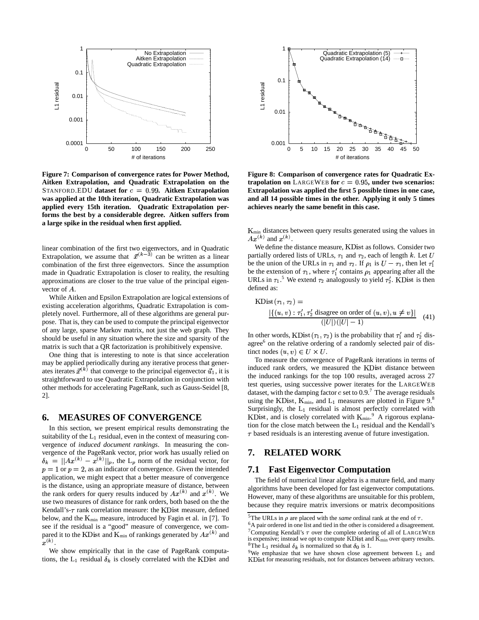

**Figure 7: Comparison of convergence rates for Power Method, Aitken Extrapolation, and Quadratic Extrapolation on the** STANFORD.EDU dataset for  $c = 0.99$ . Aitken Extrapolation **was applied at the 10th iteration, Quadratic Extrapolation was applied every 15th iteration. Quadratic Extrapolation performs the best by a considerable degree. Aitken suffers from a large spike in the residual when first applied.**

linear combination of the first two eigenvectors, and in Quadratic Extrapolation, we assume that  $\vec{x}^{(k-3)}$  can be written as a linear combination of the first three eigenvectors. Since the assumption made in Quadratic Extrapolation is closer to reality, the resulting approximations are closer to the true value of the principal eigenvector of  $A$ .

While Aitken and Epsilon Extrapolation are logical extensions of existing acceleration algorithms, Quadratic Extrapolation is completely novel. Furthermore, all of these algorithms are general purpose. That is, they can be used to compute the principal eigenvector of any large, sparse Markov matrix, not just the web graph. They should be useful in any situation where the size and sparsity of the matrix is such that a QR factorization is prohibitively expensive.

One thing that is interesting to note is that since acceleration may be applied periodically during any iterative process that generates iterates  $\vec{x}^{(k)}$  that converge to the principal eigenvector  $\vec{u}_1$ , it is straightforward to use Quadratic Extrapolation in conjunction with other methods for accelerating PageRank, such as Gauss-Seidel [8, 2].

### **6. MEASURES OF CONVERGENCE**

In this section, we present empirical results demonstrating the suitability of the  $L_1$  residual, even in the context of measuring convergence of *induced document rankings*. In measuring the convergence of the PageRank vector, prior work has usually relied on  $\delta_k = ||Ax^{(k)} - x^{(k)}||_p$ , the L<sub>p</sub> norm of the residual vector, for  $p = 1$  or  $p = 2$ , as an indicator of convergence. Given the intended application, we might expect that a better measure of convergence is the distance, using an appropriate measure of distance, between the rank orders for query results induced by  $Ax^{(k)}$  and  $x^{(k)}$ . We use two measures of distance for rank orders, both based on the the Kendall's- $\tau$  rank correlation measure: the KD ist measure, defined below, and the  $K_{min}$  measure, introduced by Fagin et al. in [7]. To see if the residual is a "good" measure of convergence, we compared it to the KDist and  $K_{min}$  of rankings generated by  $Ax^{(k)}$  and  $\mathbf{x}^{(k)}$ .

We show empirically that in the case of PageRank computations, the  $L_1$  residual  $\delta_k$  is closely correlated with the KD ist and I



**Figure 8: Comparison of convergence rates for Quadratic Extrapolation on** LARGEWEB for  $c = 0.95$ , under two scenarios: **Extrapolation was applied the first 5 possible times in one case, and all 14 possible times in the other. Applying it only 5 times achieves nearly the same benefit in this case.**

K<sub>min</sub> distances between query results generated using the values in  $Ax^{(k)}$  and  $x^{(k)}$ .

We define the distance measure, KDist as follows. Consider two partially ordered lists of URLs,  $\tau_1$  and  $\tau_2$ , each of length k. Let U be the union of the URLs in  $\tau_1$  and  $\tau_2$ . If  $\rho_1$  is  $U - \tau_1$ , then let  $\tau_1$ be the extension of  $\tau_1$ , where  $\tau'_1$  contains  $\rho_1$  appearing after all the URLs in  $\tau_1$ <sup>5</sup> We extend  $\tau_2$  analogously to yield  $\tau_2'$ . KD ist is then defined as:

$$
KDist(\tau_1, \tau_2) = \frac{|\{(u, v) : \tau_1', \tau_2' \text{ disagree on order of } (u, v), u \neq v\}|}{(|U|)(|U| - 1)}
$$
(41)

In other words,  $KDist(\tau_1, \tau_2)$  is the probability that  $\tau_1'$  and  $\tau_2'$  disagree<sup>6</sup> on the relative ordering of a randomly selected pair of distinct nodes  $(u, v) \in U \times U$ .

To measure the convergence of PageRank iterations in terms of induced rank orders, we measured the KDist distance between the induced rankings for the top 100 results, averaged across 27 test queries, using successive power iterates for the LARGEWEB dataset, with the damping factor  $c$  set to 0.9.<sup>7</sup> The average residuals using the KDist,  $K_{min}$ , and  $L_1$  measures are plotted in Figure 9.<sup>8</sup> Surprisingly, the  $L_1$  residual is almost perfectly correlated with KDist, and is closely correlated with  $K_{min}$ .<sup>9</sup> A rigorous explanation for the close match between the  $L_1$  residual and the Kendall's  $\tau$  based residuals is an interesting avenue of future investigation.

# **7. RELATED WORK**

# **7.1 Fast Eigenvector Computation**

The field of numerical linear algebra is a mature field, and many algorithms have been developed for fast eigenvector computations. However, many of these algorithms are unsuitable for this problem, because they require matrix inversions or matrix decompositions

<sup>&</sup>lt;sup>5</sup>The URLs in  $\rho$  are placed with the *same* ordinal rank at the end of  $\tau$ .

<sup>6</sup>A pair ordered in one list and tied in the other is considered a disagreement. <sup>7</sup>Computing Kendall's  $\tau$  over the complete ordering of all of LARGEWEB is expensive; instead we opt to compute KD ist and  $\bar{K}_{min}$  over query results. <sup>8</sup>The L<sub>1</sub> residual  $\delta_k$  is normalized so that  $\delta_0$  is 1.

<sup>&</sup>lt;sup>9</sup>We emphasize that we have shown close agreement between  $L_1$  and KDist for measuring residuals, not for distances between arbitrary vectors.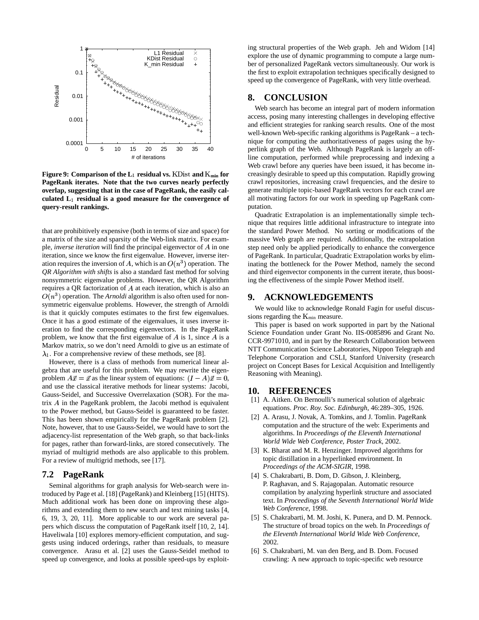

Figure 9: Comparison of the  $\mathbf{L}_1$  residual vs.  $\mathrm{KDist}$  and  $\mathrm{K}_{\mathrm{min}}$  for **PageRank iterates. Note that the two curves nearly perfectly overlap, suggesting that in the case of PageRank, the easily calculated L residual is a good measure for the convergence of query-result rankings.**

that are prohibitively expensive (both in terms of size and space) for a matrix of the size and sparsity of the Web-link matrix. For example, *inverse iteration* will find the principal eigenvector of A in one s iteration, since we know the first eigenvalue. However, inverse iteration requires the inversion of A, which is an  $O(n^3)$  operation. The *QR Algorithm with shifts* is also a standard fast method for solving nonsymmetric eigenvalue problems. However, the QR Algorithm requires a QR factorization of A at each iteration, which is also an  $O(n^3)$  operation. The *Arnoldi* algorithm is also often used for nonsymmetric eigenvalue problems. However, the strength of Arnoldi is that it quickly computes estimates to the first few eigenvalues. Once it has a good estimate of the eigenvalues, it uses inverse iteration to find the corresponding eigenvectors. In the PageRank problem, we know that the first eigenvalue of A is 1, since A is a Markov matrix, so we don't need Arnoldi to give us an estimate of  $\lambda_1$ . For a comprehensive review of these methods, see [8].

However, there is a class of methods from numerical linear algebra that are useful for this problem. We may rewrite the eigenproblem  $A\vec{x} = \vec{x}$  as the linear system of equations:  $(I - A)\vec{x} = 0$ , and use the classical iterative methods for linear systems: Jacobi, Gauss-Seidel, and Successive Overrelaxation (SOR). For the matrix  $A$  in the PageRank problem, the Jacobi method is equivalent to the Power method, but Gauss-Seidel is guaranteed to be faster. This has been shown empirically for the PageRank problem [2]. Note, however, that to use Gauss-Seidel, we would have to sort the adjacency-list representation of the Web graph, so that back-links for pages, rather than forward-links, are stored consecutively. The myriad of multigrid methods are also applicable to this problem. For a review of multigrid methods, see [17].

### **7.2 PageRank**

Seminal algorithms for graph analysis for Web-search were introduced by Page et al. [18] (PageRank) and Kleinberg [15] (HITS). Much additional work has been done on improving these algorithms and extending them to new search and text mining tasks [4, 6, 19, 3, 20, 11]. More applicable to our work are several papers which discuss the computation of PageRank itself [10, 2, 14]. Haveliwala [10] explores memory-efficient computation, and suggests using induced orderings, rather than residuals, to measure convergence. Arasu et al. [2] uses the Gauss-Seidel method to speed up convergence, and looks at possible speed-ups by exploiting structural properties of the Web graph. Jeh and Widom [14] explore the use of dynamic programming to compute a large number of personalized PageRank vectors simultaneously. Our work is the first to exploit extrapolation techniques specifically designed to speed up the convergence of PageRank, with very little overhead.

# **8. CONCLUSION**

 creasingly desirable to speed up this computation. Rapidly growing Web search has become an integral part of modern information access, posing many interesting challenges in developing effective and efficient strategies for ranking search results. One of the most well-known Web-specific ranking algorithms is PageRank – a technique for computing the authoritativeness of pages using the hyperlink graph of the Web. Although PageRank is largely an offline computation, performed while preprocessing and indexing a Web crawl before any queries have been issued, it has become incrawl repositories, increasing crawl frequencies, and the desire to generate multiple topic-based PageRank vectors for each crawl are all motivating factors for our work in speeding up PageRank computation.

Quadratic Extrapolation is an implementationally simple technique that requires little additional infrastructure to integrate into the standard Power Method. No sorting or modifications of the massive Web graph are required. Additionally, the extrapolation step need only be applied periodically to enhance the convergence of PageRank. In particular, Quadratic Extrapolation works by eliminating the bottleneck for the Power Method, namely the second and third eigenvector components in the current iterate, thus boosting the effectiveness of the simple Power Method itself.

### **9. ACKNOWLEDGEMENTS**

We would like to acknowledge Ronald Fagin for useful discussions regarding the  $K_{min}$  measure.

This paper is based on work supported in part by the National Science Foundation under Grant No. IIS-0085896 and Grant No. CCR-9971010, and in part by the Research Collaboration between NTT Communication Science Laboratories, Nippon Telegraph and Telephone Corporation and CSLI, Stanford University (research project on Concept Bases for Lexical Acquisition and Intelligently Reasoning with Meaning).

### **10. REFERENCES**

- [1] A. Aitken. On Bernoulli's numerical solution of algebraic equations. *Proc. Roy. Soc. Edinburgh*, 46:289–305, 1926.
- [2] A. Arasu, J. Novak, A. Tomkins, and J. Tomlin. PageRank computation and the structure of the web: Experiments and algorithms. In *Proceedings of the Eleventh International World Wide Web Conference, Poster Track*, 2002.
- [3] K. Bharat and M. R. Henzinger. Improved algorithms for topic distillation in a hyperlinked environment. In *Proceedings of the ACM-SIGIR*, 1998.
- [4] S. Chakrabarti, B. Dom, D. Gibson, J. Kleinberg, P. Raghavan, and S. Rajagopalan. Automatic resource compilation by analyzing hyperlink structure and associated text. In *Proceedings of the Seventh International World Wide Web Conference*, 1998.
- [5] S. Chakrabarti, M. M. Joshi, K. Punera, and D. M. Pennock. The structure of broad topics on the web. In *Proceedings of the Eleventh International World Wide Web Conference*, 2002.
- [6] S. Chakrabarti, M. van den Berg, and B. Dom. Focused crawling: A new approach to topic-specific web resource